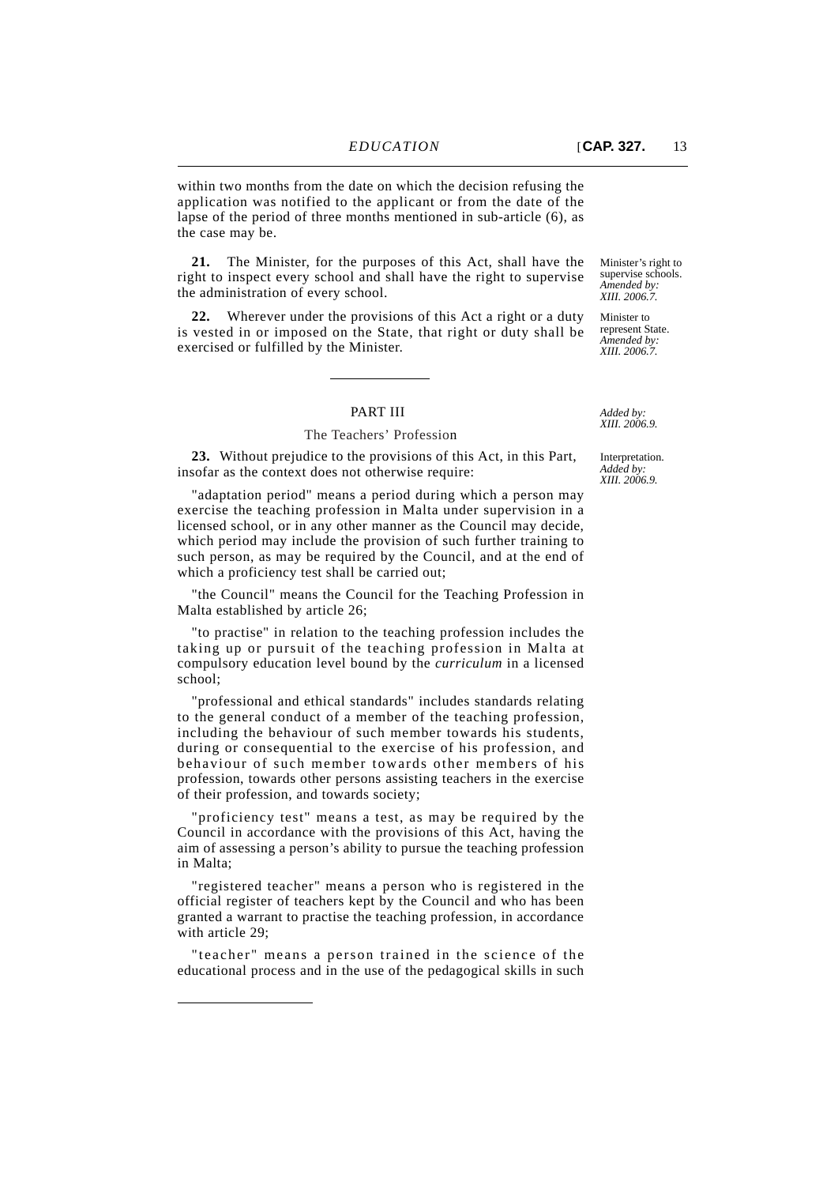within two months from the date on which the decision refusing the application was notified to the applicant or from the date of the lapse of the period of three months mentioned in sub-article (6), as the case may be.

**21.** The Minister, for the purposes of this Act, shall have the right to inspect every school and shall have the right to supervise the administration of every school.

**22.** Wherever under the provisions of this Act a right or a duty is vested in or imposed on the State, that right or duty shall be exercised or fulfilled by the Minister.

## PART III

## The Teachers' Profession

**23.** Without prejudice to the provisions of this Act, in this Part, insofar as the context does not otherwise require:

"adaptation period" means a period during which a person may exercise the teaching profession in Malta under supervision in a licensed school, or in any other manner as the Council may decide, which period may include the provision of such further training to such person, as may be required by the Council, and at the end of which a proficiency test shall be carried out;

"the Council" means the Council for the Teaching Profession in Malta established by article 26;

"to practise" in relation to the teaching profession includes the taking up or pursuit of the teaching profession in Malta at compulsory education level bound by the *curriculum* in a licensed school;

"professional and ethical standards" includes standards relating to the general conduct of a member of the teaching profession, including the behaviour of such member towards his students, during or consequential to the exercise of his profession, and behaviour of such member towards other members of his profession, towards other persons assisting teachers in the exercise of their profession, and towards society;

"proficiency test" means a test, as may be required by the Council in accordance with the provisions of this Act, having the aim of assessing a person's ability to pursue the teaching profession in Malta;

"registered teacher" means a person who is registered in the official register of teachers kept by the Council and who has been granted a warrant to practise the teaching profession, in accordance with article 29;

"teacher" means a person trained in the science of the educational process and in the use of the pedagogical skills in such

Minister's right to supervise schools. *Amended by: XIII. 2006.7.*

Minister to represent State. *Amended by: XIII. 2006.7.*

*Added by: XIII. 2006.9.*

Interpretation. *Added by: XIII. 2006.9.*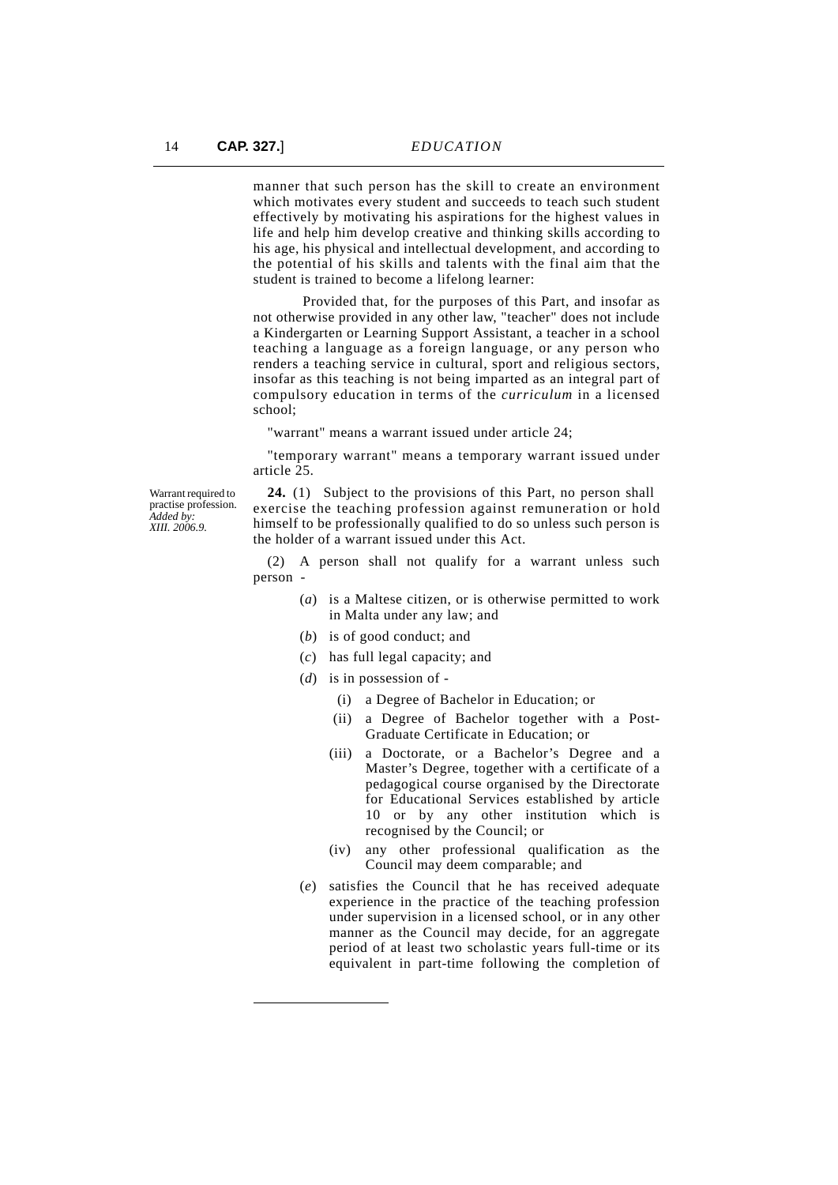manner that such person has the skill to create an environment which motivates every student and succeeds to teach such student effectively by motivating his aspirations for the highest values in life and help him develop creative and thinking skills according to his age, his physical and intellectual development, and according to the potential of his skills and talents with the final aim that the student is trained to become a lifelong learner:

Provided that, for the purposes of this Part, and insofar as not otherwise provided in any other law, "teacher" does not include a Kindergarten or Learning Support Assistant, a teacher in a school teaching a language as a foreign language, or any person who renders a teaching service in cultural, sport and religious sectors, insofar as this teaching is not being imparted as an integral part of compulsory education in terms of the *curriculum* in a licensed school;

"warrant" means a warrant issued under article 24;

"temporary warrant" means a temporary warrant issued under article 25.

Warrant required to practise profession. *Added by: XIII. 2006.9.*

**24.** (1) Subject to the provisions of this Part, no person shall exercise the teaching profession against remuneration or hold himself to be professionally qualified to do so unless such person is the holder of a warrant issued under this Act.

(2) A person shall not qualify for a warrant unless such person -

- (*a*) is a Maltese citizen, or is otherwise permitted to work in Malta under any law; and
- (*b*) is of good conduct; and
- (*c*) has full legal capacity; and
- (*d*) is in possession of
	- (i) a Degree of Bachelor in Education; or
	- (ii) a Degree of Bachelor together with a Post-Graduate Certificate in Education; or
	- (iii) a Doctorate, or a Bachelor's Degree and a Master's Degree, together with a certificate of a pedagogical course organised by the Directorate for Educational Services established by article 10 or by any other institution which is recognised by the Council; or
	- (iv) any other professional qualification as the Council may deem comparable; and
- (*e*) satisfies the Council that he has received adequate experience in the practice of the teaching profession under supervision in a licensed school, or in any other manner as the Council may decide, for an aggregate period of at least two scholastic years full-time or its equivalent in part-time following the completion of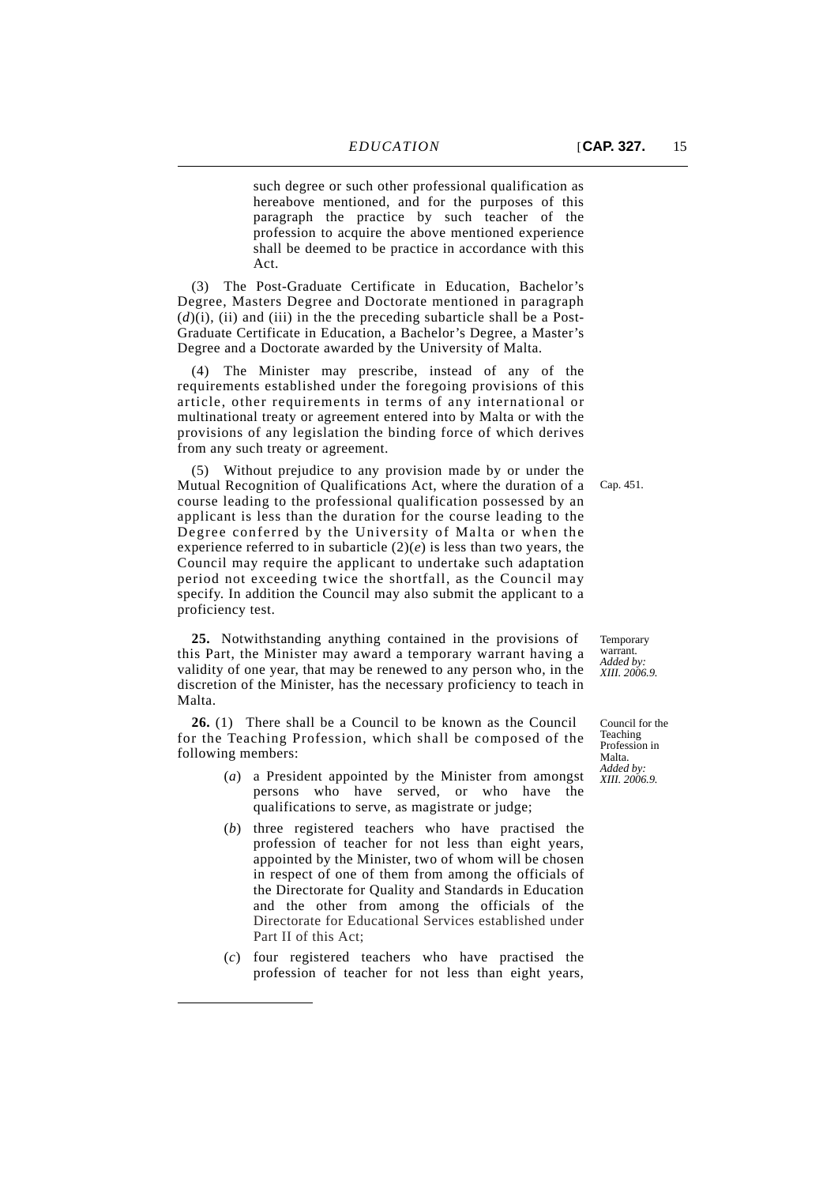such degree or such other professional qualification as hereabove mentioned, and for the purposes of this paragraph the practice by such teacher of the profession to acquire the above mentioned experience shall be deemed to be practice in accordance with this Act.

(3) The Post-Graduate Certificate in Education, Bachelor's Degree, Masters Degree and Doctorate mentioned in paragraph  $(d)(i)$ , (ii) and (iii) in the the preceding subarticle shall be a Post-Graduate Certificate in Education, a Bachelor's Degree, a Master's Degree and a Doctorate awarded by the University of Malta.

(4) The Minister may prescribe, instead of any of the requirements established under the foregoing provisions of this article, other requirements in terms of any international or multinational treaty or agreement entered into by Malta or with the provisions of any legislation the binding force of which derives from any such treaty or agreement.

(5) Without prejudice to any provision made by or under the Mutual Recognition of Qualifications Act, where the duration of a course leading to the professional qualification possessed by an applicant is less than the duration for the course leading to the Degree conferred by the University of Malta or when the experience referred to in subarticle  $(2)(e)$  is less than two years, the Council may require the applicant to undertake such adaptation period not exceeding twice the shortfall, as the Council may specify. In addition the Council may also submit the applicant to a proficiency test.

**25.** Notwithstanding anything contained in the provisions of this Part, the Minister may award a temporary warrant having a validity of one year, that may be renewed to any person who, in the discretion of the Minister, has the necessary proficiency to teach in Malta.

**26.** (1) There shall be a Council to be known as the Council for the Teaching Profession, which shall be composed of the following members:

- (*a*) a President appointed by the Minister from amongst persons who have served, or who have the qualifications to serve, as magistrate or judge;
- (*b*) three registered teachers who have practised the profession of teacher for not less than eight years, appointed by the Minister, two of whom will be chosen in respect of one of them from among the officials of the Directorate for Quality and Standards in Education and the other from among the officials of the Directorate for Educational Services established under Part II of this Act;
- (*c*) four registered teachers who have practised the profession of teacher for not less than eight years,

Temporary warrant. *Added by: XIII. 2006.9.*

Council for the Teaching Profession in Malta. *Added by: XIII. 2006.9.*

Cap. 451.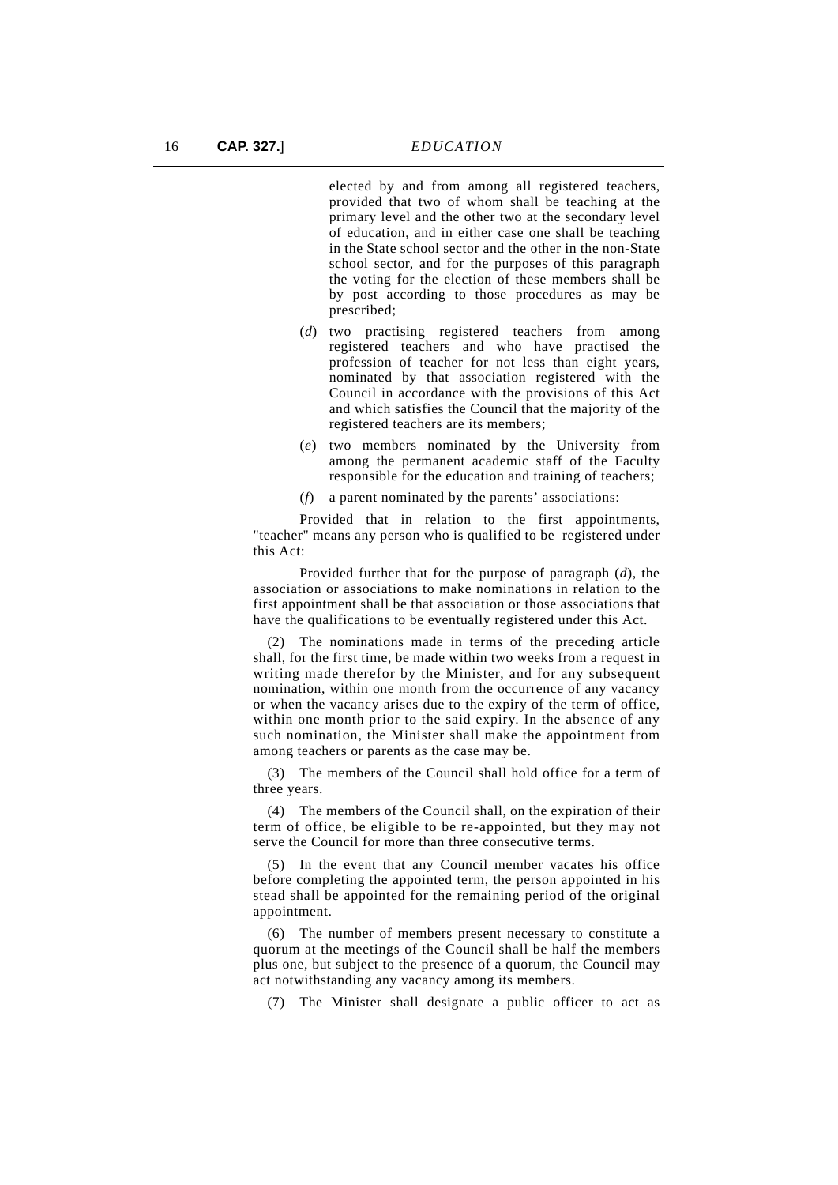elected by and from among all registered teachers, provided that two of whom shall be teaching at the primary level and the other two at the secondary level of education, and in either case one shall be teaching in the State school sector and the other in the non-State school sector, and for the purposes of this paragraph the voting for the election of these members shall be by post according to those procedures as may be prescribed;

- (*d*) two practising registered teachers from among registered teachers and who have practised the profession of teacher for not less than eight years, nominated by that association registered with the Council in accordance with the provisions of this Act and which satisfies the Council that the majority of the registered teachers are its members;
- (*e*) two members nominated by the University from among the permanent academic staff of the Faculty responsible for the education and training of teachers;
- (*f*) a parent nominated by the parents' associations:

Provided that in relation to the first appointments, "teacher" means any person who is qualified to be registered under this Act:

Provided further that for the purpose of paragraph (*d*), the association or associations to make nominations in relation to the first appointment shall be that association or those associations that have the qualifications to be eventually registered under this Act.

(2) The nominations made in terms of the preceding article shall, for the first time, be made within two weeks from a request in writing made therefor by the Minister, and for any subsequent nomination, within one month from the occurrence of any vacancy or when the vacancy arises due to the expiry of the term of office, within one month prior to the said expiry. In the absence of any such nomination, the Minister shall make the appointment from among teachers or parents as the case may be.

(3) The members of the Council shall hold office for a term of three years.

(4) The members of the Council shall, on the expiration of their term of office, be eligible to be re-appointed, but they may not serve the Council for more than three consecutive terms.

(5) In the event that any Council member vacates his office before completing the appointed term, the person appointed in his stead shall be appointed for the remaining period of the original appointment.

(6) The number of members present necessary to constitute a quorum at the meetings of the Council shall be half the members plus one, but subject to the presence of a quorum, the Council may act notwithstanding any vacancy among its members.

(7) The Minister shall designate a public officer to act as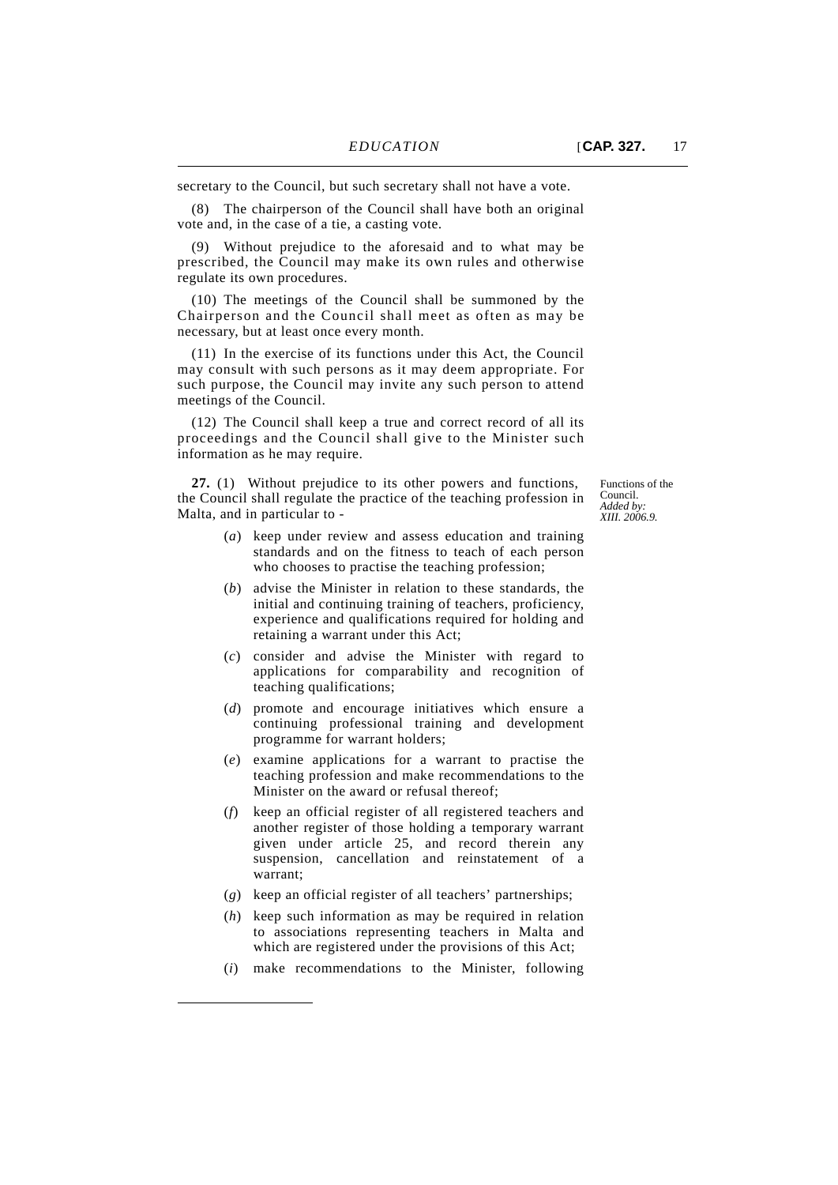(8) The chairperson of the Council shall have both an original vote and, in the case of a tie, a casting vote.

Without prejudice to the aforesaid and to what may be prescribed, the Council may make its own rules and otherwise regulate its own procedures.

(10) The meetings of the Council shall be summoned by the Chairperson and the Council shall meet as often as may be necessary, but at least once every month.

(11) In the exercise of its functions under this Act, the Council may consult with such persons as it may deem appropriate. For such purpose, the Council may invite any such person to attend meetings of the Council.

(12) The Council shall keep a true and correct record of all its proceedings and the Council shall give to the Minister such information as he may require.

**27.** (1) Without prejudice to its other powers and functions, the Council shall regulate the practice of the teaching profession in Malta, and in particular to -

Functions of the Council. *Added by: XIII. 2006.9.*

- (*a*) keep under review and assess education and training standards and on the fitness to teach of each person who chooses to practise the teaching profession;
- (*b*) advise the Minister in relation to these standards, the initial and continuing training of teachers, proficiency, experience and qualifications required for holding and retaining a warrant under this Act;
- (*c*) consider and advise the Minister with regard to applications for comparability and recognition of teaching qualifications;
- (*d*) promote and encourage initiatives which ensure a continuing professional training and development programme for warrant holders;
- (*e*) examine applications for a warrant to practise the teaching profession and make recommendations to the Minister on the award or refusal thereof;
- (*f*) keep an official register of all registered teachers and another register of those holding a temporary warrant given under article 25, and record therein any suspension, cancellation and reinstatement of a warrant;
- (*g*) keep an official register of all teachers' partnerships;
- (*h*) keep such information as may be required in relation to associations representing teachers in Malta and which are registered under the provisions of this Act;
- (*i*) make recommendations to the Minister, following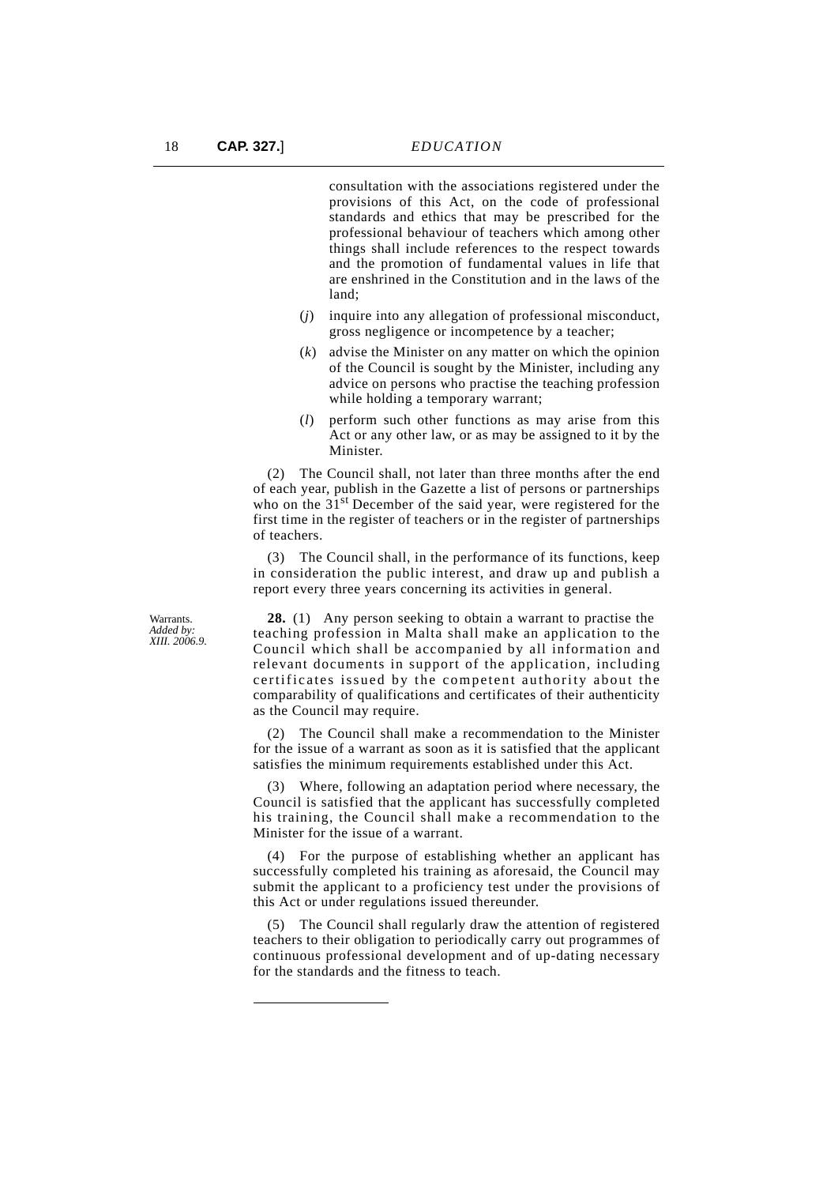consultation with the associations registered under the provisions of this Act, on the code of professional standards and ethics that may be prescribed for the professional behaviour of teachers which among other things shall include references to the respect towards and the promotion of fundamental values in life that are enshrined in the Constitution and in the laws of the land;

- (*j*) inquire into any allegation of professional misconduct, gross negligence or incompetence by a teacher;
- (*k*) advise the Minister on any matter on which the opinion of the Council is sought by the Minister, including any advice on persons who practise the teaching profession while holding a temporary warrant:
- (*l*) perform such other functions as may arise from this Act or any other law, or as may be assigned to it by the Minister.

(2) The Council shall, not later than three months after the end of each year, publish in the Gazette a list of persons or partnerships who on the  $31<sup>st</sup>$  December of the said year, were registered for the first time in the register of teachers or in the register of partnerships of teachers.

(3) The Council shall, in the performance of its functions, keep in consideration the public interest, and draw up and publish a report every three years concerning its activities in general.

**Warrants** *Added by: XIII. 2006.9.*

**28.** (1) Any person seeking to obtain a warrant to practise the teaching profession in Malta shall make an application to the Council which shall be accompanied by all information and relevant documents in support of the application, including certificates issued by the competent authority about the comparability of qualifications and certificates of their authenticity as the Council may require.

(2) The Council shall make a recommendation to the Minister for the issue of a warrant as soon as it is satisfied that the applicant satisfies the minimum requirements established under this Act.

(3) Where, following an adaptation period where necessary, the Council is satisfied that the applicant has successfully completed his training, the Council shall make a recommendation to the Minister for the issue of a warrant.

(4) For the purpose of establishing whether an applicant has successfully completed his training as aforesaid, the Council may submit the applicant to a proficiency test under the provisions of this Act or under regulations issued thereunder.

(5) The Council shall regularly draw the attention of registered teachers to their obligation to periodically carry out programmes of continuous professional development and of up-dating necessary for the standards and the fitness to teach.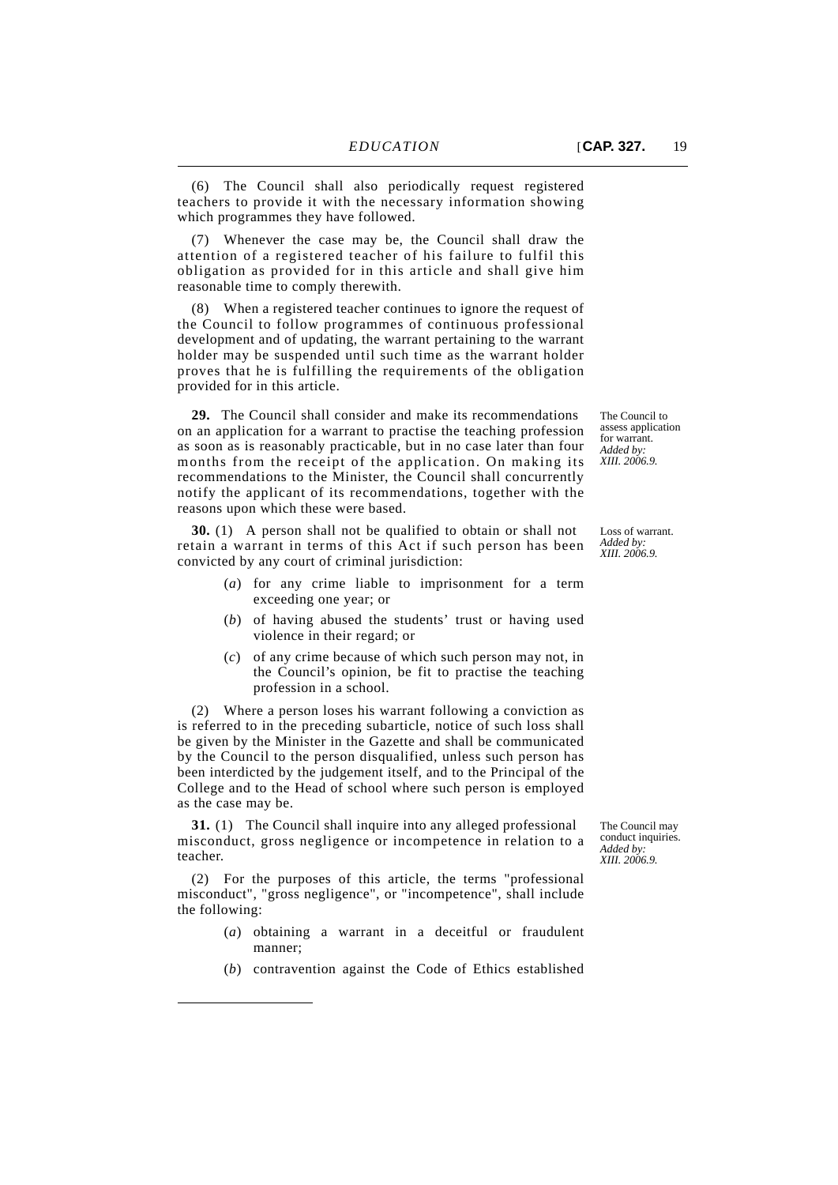(6) The Council shall also periodically request registered teachers to provide it with the necessary information showing which programmes they have followed.

(7) Whenever the case may be, the Council shall draw the attention of a registered teacher of his failure to fulfil this obligation as provided for in this article and shall give him reasonable time to comply therewith.

(8) When a registered teacher continues to ignore the request of the Council to follow programmes of continuous professional development and of updating, the warrant pertaining to the warrant holder may be suspended until such time as the warrant holder proves that he is fulfilling the requirements of the obligation provided for in this article.

**29.** The Council shall consider and make its recommendations on an application for a warrant to practise the teaching profession as soon as is reasonably practicable, but in no case later than four months from the receipt of the application. On making its recommendations to the Minister, the Council shall concurrently notify the applicant of its recommendations, together with the reasons upon which these were based.

**30.** (1) A person shall not be qualified to obtain or shall not retain a warrant in terms of this Act if such person has been convicted by any court of criminal jurisdiction:

- (*a*) for any crime liable to imprisonment for a term exceeding one year; or
- (*b*) of having abused the students' trust or having used violence in their regard; or
- (*c*) of any crime because of which such person may not, in the Council's opinion, be fit to practise the teaching profession in a school.

(2) Where a person loses his warrant following a conviction as is referred to in the preceding subarticle, notice of such loss shall be given by the Minister in the Gazette and shall be communicated by the Council to the person disqualified, unless such person has been interdicted by the judgement itself, and to the Principal of the College and to the Head of school where such person is employed as the case may be.

**31.** (1) The Council shall inquire into any alleged professional misconduct, gross negligence or incompetence in relation to a teacher.

(2) For the purposes of this article, the terms "professional misconduct", "gross negligence", or "incompetence", shall include the following:

- (*a*) obtaining a warrant in a deceitful or fraudulent manner;
- (*b*) contravention against the Code of Ethics established

The Council to assess application for warrant. *Added by: XIII. 2006.9.*

Loss of warrant. *Added by: XIII. 2006.9.*

The Council may conduct inquiries. *Added by: XIII. 2006.9.*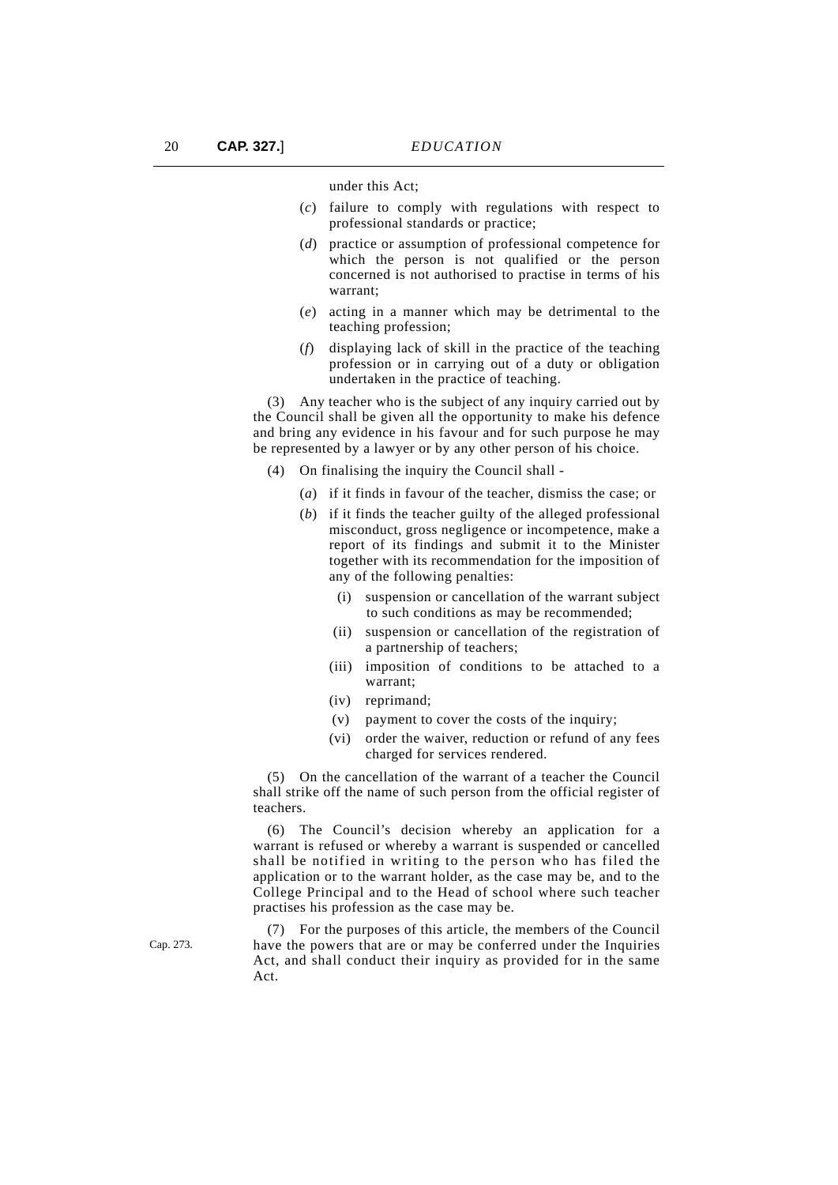under this Act;

- (*c*) failure to comply with regulations with respect to professional standards or practice;
- (*d*) practice or assumption of professional competence for which the person is not qualified or the person concerned is not authorised to practise in terms of his warrant;
- (*e*) acting in a manner which may be detrimental to the teaching profession;
- (*f*) displaying lack of skill in the practice of the teaching profession or in carrying out of a duty or obligation undertaken in the practice of teaching.

(3) Any teacher who is the subject of any inquiry carried out by the Council shall be given all the opportunity to make his defence and bring any evidence in his favour and for such purpose he may be represented by a lawyer or by any other person of his choice.

- (4) On finalising the inquiry the Council shall
	- (*a*) if it finds in favour of the teacher, dismiss the case; or
	- (*b*) if it finds the teacher guilty of the alleged professional misconduct, gross negligence or incompetence, make a report of its findings and submit it to the Minister together with its recommendation for the imposition of any of the following penalties:
		- (i) suspension or cancellation of the warrant subject to such conditions as may be recommended;
		- (ii) suspension or cancellation of the registration of a partnership of teachers;
		- (iii) imposition of conditions to be attached to a warrant;
		- (iv) reprimand;
		- (v) payment to cover the costs of the inquiry;
		- (vi) order the waiver, reduction or refund of any fees charged for services rendered.

(5) On the cancellation of the warrant of a teacher the Council shall strike off the name of such person from the official register of teachers.

(6) The Council's decision whereby an application for a warrant is refused or whereby a warrant is suspended or cancelled shall be notified in writing to the person who has filed the application or to the warrant holder, as the case may be, and to the College Principal and to the Head of school where such teacher practises his profession as the case may be.

(7) For the purposes of this article, the members of the Council have the powers that are or may be conferred under the Inquiries Act, and shall conduct their inquiry as provided for in the same Act.

Cap. 273.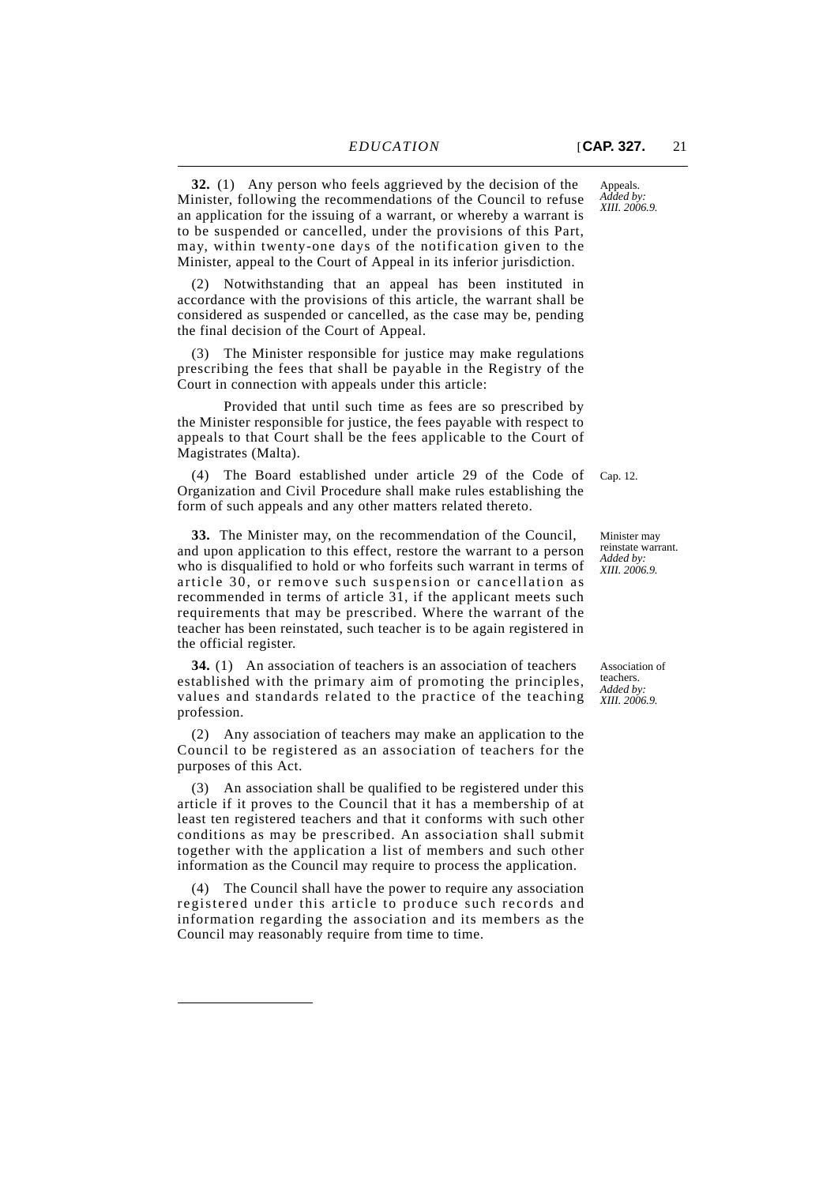**32.** (1) Any person who feels aggrieved by the decision of the Minister, following the recommendations of the Council to refuse an application for the issuing of a warrant, or whereby a warrant is to be suspended or cancelled, under the provisions of this Part, may, within twenty-one days of the notification given to the Minister, appeal to the Court of Appeal in its inferior jurisdiction.

(2) Notwithstanding that an appeal has been instituted in accordance with the provisions of this article, the warrant shall be considered as suspended or cancelled, as the case may be, pending the final decision of the Court of Appeal.

(3) The Minister responsible for justice may make regulations prescribing the fees that shall be payable in the Registry of the Court in connection with appeals under this article:

Provided that until such time as fees are so prescribed by the Minister responsible for justice, the fees payable with respect to appeals to that Court shall be the fees applicable to the Court of Magistrates (Malta).

(4) The Board established under article 29 of the Code of Cap. 12. Organization and Civil Procedure shall make rules establishing the form of such appeals and any other matters related thereto.

**33.** The Minister may, on the recommendation of the Council, and upon application to this effect, restore the warrant to a person who is disqualified to hold or who forfeits such warrant in terms of article 30, or remove such suspension or cancellation as recommended in terms of article 31, if the applicant meets such requirements that may be prescribed. Where the warrant of the teacher has been reinstated, such teacher is to be again registered in the official register.

**34.** (1) An association of teachers is an association of teachers established with the primary aim of promoting the principles, values and standards related to the practice of the teaching profession.

(2) Any association of teachers may make an application to the Council to be registered as an association of teachers for the purposes of this Act.

(3) An association shall be qualified to be registered under this article if it proves to the Council that it has a membership of at least ten registered teachers and that it conforms with such other conditions as may be prescribed. An association shall submit together with the application a list of members and such other information as the Council may require to process the application.

(4) The Council shall have the power to require any association registered under this article to produce such records and information regarding the association and its members as the Council may reasonably require from time to time.

Minister may reinstate warrant. *Added by: XIII. 2006.9.*

Association of teachers. *Added by: XIII. 2006.9.*

*XIII. 2006.9.*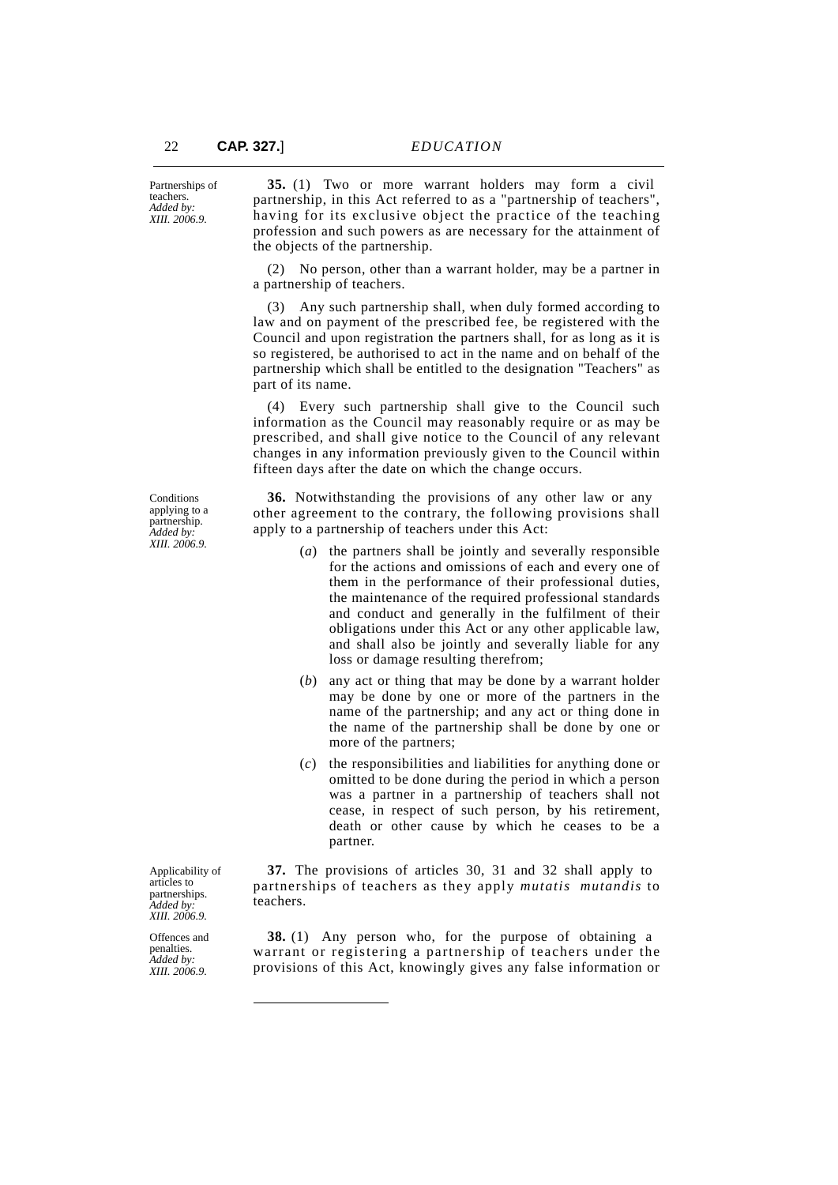**35.** (1) Two or more warrant holders may form a civil partnership, in this Act referred to as a "partnership of teachers", having for its exclusive object the practice of the teaching profession and such powers as are necessary for the attainment of the objects of the partnership.

(2) No person, other than a warrant holder, may be a partner in a partnership of teachers.

(3) Any such partnership shall, when duly formed according to law and on payment of the prescribed fee, be registered with the Council and upon registration the partners shall, for as long as it is so registered, be authorised to act in the name and on behalf of the partnership which shall be entitled to the designation "Teachers" as part of its name.

(4) Every such partnership shall give to the Council such information as the Council may reasonably require or as may be prescribed, and shall give notice to the Council of any relevant changes in any information previously given to the Council within fifteen days after the date on which the change occurs.

**36.** Notwithstanding the provisions of any other law or any other agreement to the contrary, the following provisions shall apply to a partnership of teachers under this Act:

- (*a*) the partners shall be jointly and severally responsible for the actions and omissions of each and every one of them in the performance of their professional duties, the maintenance of the required professional standards and conduct and generally in the fulfilment of their obligations under this Act or any other applicable law, and shall also be jointly and severally liable for any loss or damage resulting therefrom;
- (*b*) any act or thing that may be done by a warrant holder may be done by one or more of the partners in the name of the partnership; and any act or thing done in the name of the partnership shall be done by one or more of the partners;
- (*c*) the responsibilities and liabilities for anything done or omitted to be done during the period in which a person was a partner in a partnership of teachers shall not cease, in respect of such person, by his retirement, death or other cause by which he ceases to be a partner.

**37.** The provisions of articles 30, 31 and 32 shall apply to partnerships of teachers as they apply *mutatis mutandis* to teachers.

**38.** (1) Any person who, for the purpose of obtaining a warrant or registering a partnership of teachers under the provisions of this Act, knowingly gives any false information or

**Conditions** applying to a partnership. *Added by: XIII. 2006.9.*

Applicability of articles to partnerships. *Added by: XIII. 2006.9.*

Offences and penalties. *Added by: XIII. 2006.9.*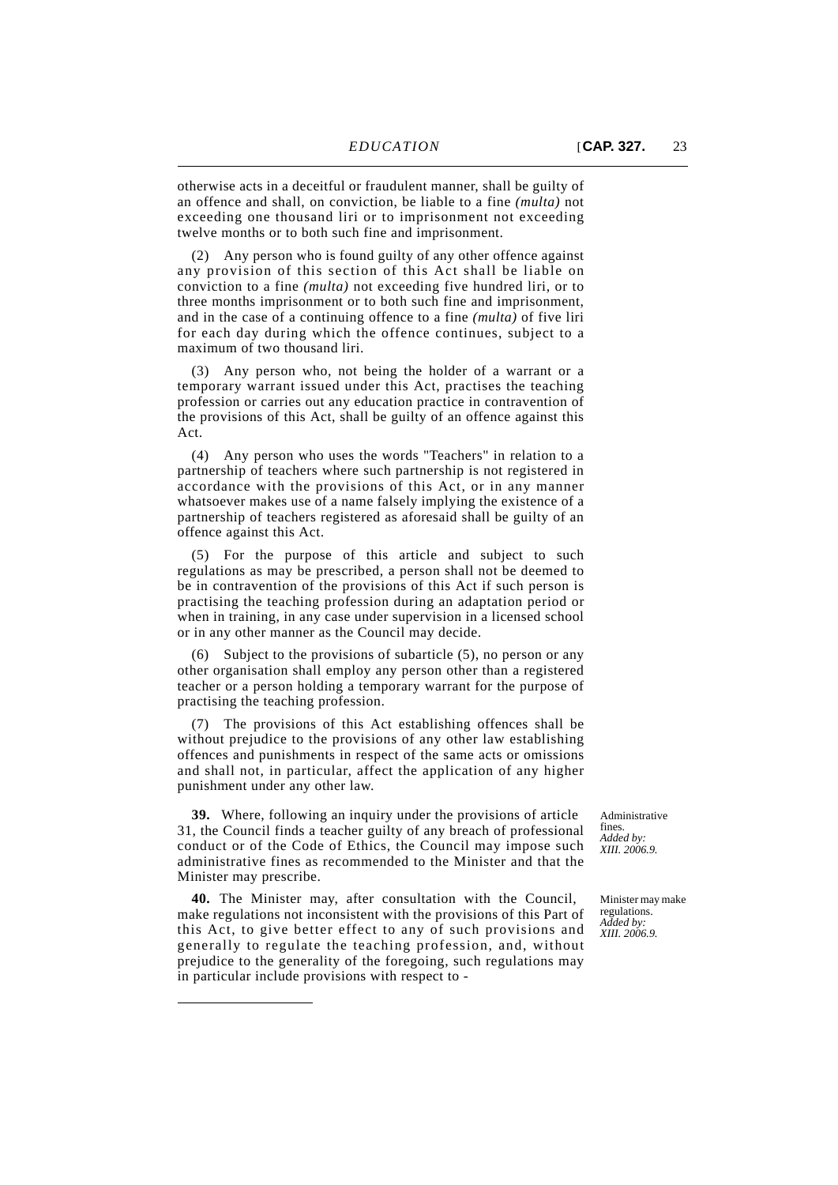otherwise acts in a deceitful or fraudulent manner, shall be guilty of an offence and shall, on conviction, be liable to a fine *(multa)* not exceeding one thousand liri or to imprisonment not exceeding twelve months or to both such fine and imprisonment.

(2) Any person who is found guilty of any other offence against any provision of this section of this Act shall be liable on conviction to a fine *(multa)* not exceeding five hundred liri, or to three months imprisonment or to both such fine and imprisonment, and in the case of a continuing offence to a fine *(multa)* of five liri for each day during which the offence continues, subject to a maximum of two thousand liri.

(3) Any person who, not being the holder of a warrant or a temporary warrant issued under this Act, practises the teaching profession or carries out any education practice in contravention of the provisions of this Act, shall be guilty of an offence against this Act.

(4) Any person who uses the words "Teachers" in relation to a partnership of teachers where such partnership is not registered in accordance with the provisions of this Act, or in any manner whatsoever makes use of a name falsely implying the existence of a partnership of teachers registered as aforesaid shall be guilty of an offence against this Act.

(5) For the purpose of this article and subject to such regulations as may be prescribed, a person shall not be deemed to be in contravention of the provisions of this Act if such person is practising the teaching profession during an adaptation period or when in training, in any case under supervision in a licensed school or in any other manner as the Council may decide.

(6) Subject to the provisions of subarticle (5), no person or any other organisation shall employ any person other than a registered teacher or a person holding a temporary warrant for the purpose of practising the teaching profession.

(7) The provisions of this Act establishing offences shall be without prejudice to the provisions of any other law establishing offences and punishments in respect of the same acts or omissions and shall not, in particular, affect the application of any higher punishment under any other law.

**39.** Where, following an inquiry under the provisions of article 31, the Council finds a teacher guilty of any breach of professional conduct or of the Code of Ethics, the Council may impose such administrative fines as recommended to the Minister and that the Minister may prescribe.

**40.** The Minister may, after consultation with the Council, make regulations not inconsistent with the provisions of this Part of this Act, to give better effect to any of such provisions and generally to regulate the teaching profession, and, without prejudice to the generality of the foregoing, such regulations may in particular include provisions with respect to -

Administrative fines. *Added by: XIII. 2006.9.*

Minister may make regulations. *Added by: XIII. 2006.9.*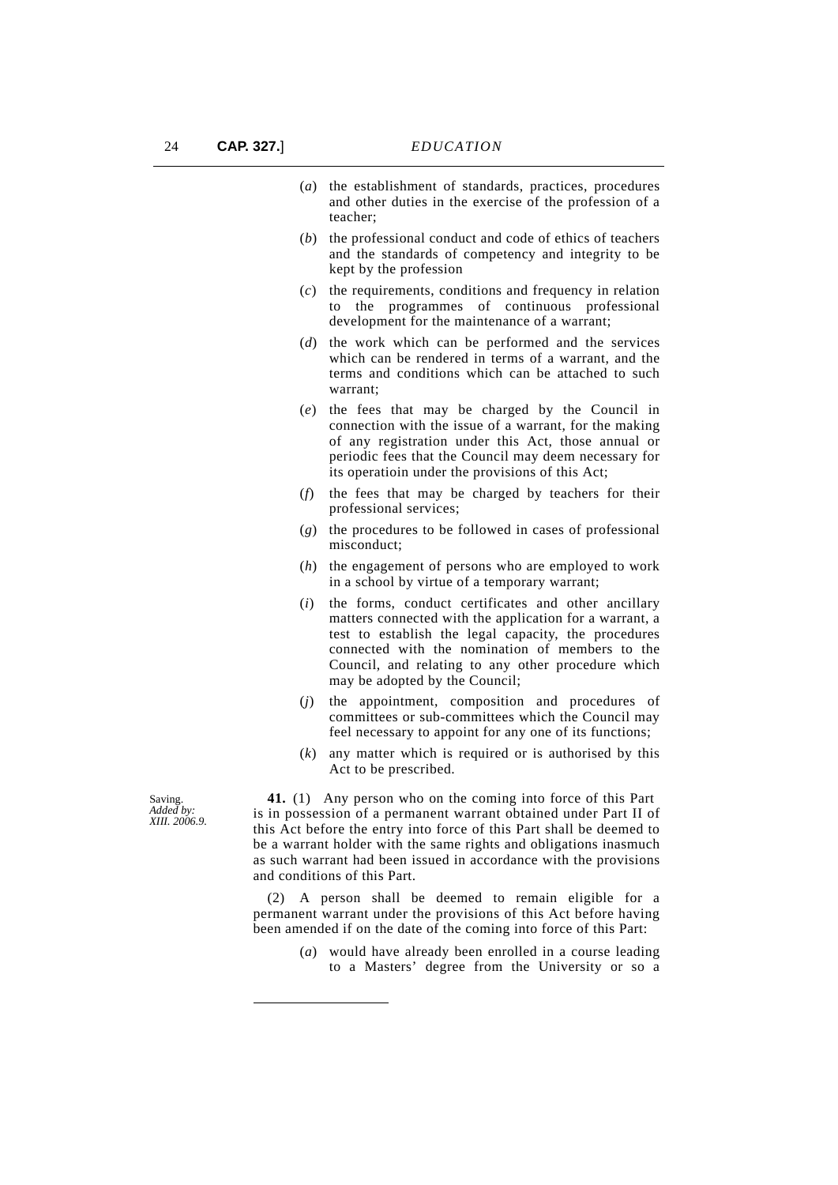- (*a*) the establishment of standards, practices, procedures and other duties in the exercise of the profession of a teacher;
- (*b*) the professional conduct and code of ethics of teachers and the standards of competency and integrity to be kept by the profession
- (*c*) the requirements, conditions and frequency in relation to the programmes of continuous professional development for the maintenance of a warrant;
- (*d*) the work which can be performed and the services which can be rendered in terms of a warrant, and the terms and conditions which can be attached to such warrant;
- (*e*) the fees that may be charged by the Council in connection with the issue of a warrant, for the making of any registration under this Act, those annual or periodic fees that the Council may deem necessary for its operatioin under the provisions of this Act;
- (*f*) the fees that may be charged by teachers for their professional services;
- (*g*) the procedures to be followed in cases of professional misconduct;
- (*h*) the engagement of persons who are employed to work in a school by virtue of a temporary warrant;
- (*i*) the forms, conduct certificates and other ancillary matters connected with the application for a warrant, a test to establish the legal capacity, the procedures connected with the nomination of members to the Council, and relating to any other procedure which may be adopted by the Council;
- (*j*) the appointment, composition and procedures of committees or sub-committees which the Council may feel necessary to appoint for any one of its functions;
- (*k*) any matter which is required or is authorised by this Act to be prescribed.

**41.** (1) Any person who on the coming into force of this Part is in possession of a permanent warrant obtained under Part II of this Act before the entry into force of this Part shall be deemed to be a warrant holder with the same rights and obligations inasmuch as such warrant had been issued in accordance with the provisions and conditions of this Part.

(2) A person shall be deemed to remain eligible for a permanent warrant under the provisions of this Act before having been amended if on the date of the coming into force of this Part:

> (*a*) would have already been enrolled in a course leading to a Masters' degree from the University or so a

Saving. *Added by: XIII. 2006.9.*